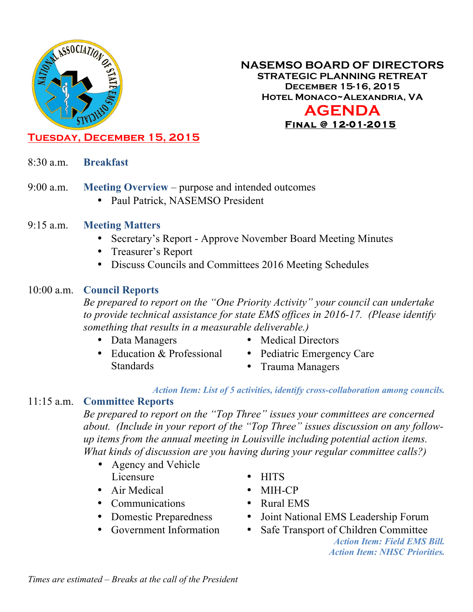

#### **NASEMSO BOARD OF DIRECTORS STRATEGIC PLANNING RETREAT December 15-16, 2015 Hotel Monaco~Alexandria, VA AGENDA Final @ 12-01-2015**

# **Tuesday, December 15, 2015**

- 8:30 a.m. **Breakfast**
- 9:00 a.m. **Meeting Overview** purpose and intended outcomes
	- Paul Patrick, NASEMSO President
- 9:15 a.m. **Meeting Matters**
	- Secretary's Report Approve November Board Meeting Minutes
	- Treasurer's Report
	- Discuss Councils and Committees 2016 Meeting Schedules

#### 10:00 a.m. **Council Reports**

*Be prepared to report on the "One Priority Activity" your council can undertake to provide technical assistance for state EMS offices in 2016-17. (Please identify something that results in a measurable deliverable.)*

• Data Managers

- Medical Directors
- Education & Professional Standards
- Pediatric Emergency Care
- Trauma Managers

#### *Action Item: List of 5 activities, identify cross-collaboration among councils.*

#### 11:15 a.m. **Committee Reports**

*Be prepared to report on the "Top Three" issues your committees are concerned about. (Include in your report of the "Top Three" issues discussion on any followup items from the annual meeting in Louisville including potential action items. What kinds of discussion are you having during your regular committee calls?)*

- Agency and Vehicle Licensure
- Air Medical
- Communications
- Domestic Preparedness
- Government Information
- HITS
- MIH-CP
- Rural EMS
- Joint National EMS Leadership Forum
- Safe Transport of Children Committee

*Action Item: Field EMS Bill. Action Item: NHSC Priorities.*

*Times are estimated* – *Breaks at the call of the President*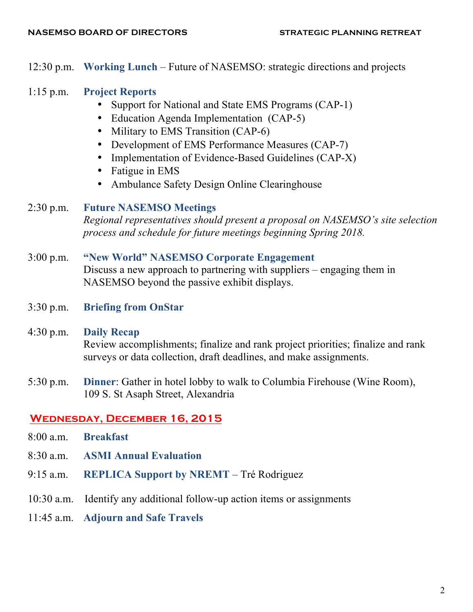12:30 p.m. **Working Lunch** – Future of NASEMSO: strategic directions and projects

### 1:15 p.m. **Project Reports**

- Support for National and State EMS Programs (CAP-1)
- Education Agenda Implementation (CAP-5)
- Military to EMS Transition (CAP-6)
- Development of EMS Performance Measures (CAP-7)
- Implementation of Evidence-Based Guidelines (CAP-X)
- Fatigue in EMS
- Ambulance Safety Design Online Clearinghouse

### 2:30 p.m. **Future NASEMSO Meetings**

*Regional representatives should present a proposal on NASEMSO's site selection process and schedule for future meetings beginning Spring 2018.*

#### 3:00 p.m. **"New World" NASEMSO Corporate Engagement**

Discuss a new approach to partnering with suppliers – engaging them in NASEMSO beyond the passive exhibit displays.

3:30 p.m. **Briefing from OnStar**

# 4:30 p.m. **Daily Recap**

Review accomplishments; finalize and rank project priorities; finalize and rank surveys or data collection, draft deadlines, and make assignments.

5:30 p.m. **Dinner**: Gather in hotel lobby to walk to Columbia Firehouse (Wine Room), 109 S. St Asaph Street, Alexandria

### **Wednesday, December 16, 2015**

- 8:00 a.m. **Breakfast**
- 8:30 a.m. **ASMI Annual Evaluation**
- 9:15 a.m. **REPLICA Support by NREMT** Tré Rodriguez
- 10:30 a.m. Identify any additional follow-up action items or assignments
- 11:45 a.m. **Adjourn and Safe Travels**